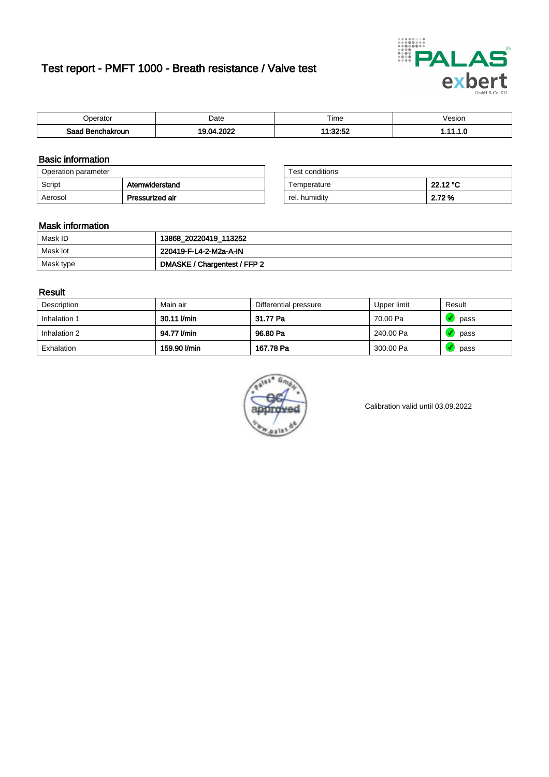# Test report - PMFT 1000 - Breath resistance / Valve test



| )perator               | Date                             | $- \cdot$<br>Гіmе        | /esion |
|------------------------|----------------------------------|--------------------------|--------|
| המס<br>hakroun<br>saac | 0000<br>$\overline{\phantom{a}}$ | 1.99.50<br>4 A .<br>L.JZ | .      |

### Basic information

| Operation parameter |                 | Test conditions |          |
|---------------------|-----------------|-----------------|----------|
| Script              | Atemwiderstand  | Temperature     | 22.12 °C |
| Aerosol             | Pressurized air | rel. humiditv   | 2.72 %   |

| Test conditions |          |
|-----------------|----------|
| Temperature     | 22.12 °C |
| rel. humidity   | 2.72%    |

### Mask information

| Mask ID   | 13868_20220419_113252        |
|-----------|------------------------------|
| Mask lot  | 220419-F-L4-2-M2a-A-IN       |
| Mask type | DMASKE / Chargentest / FFP 2 |

### Result

| Description  | Main air     | Differential pressure | Upper limit | Result |
|--------------|--------------|-----------------------|-------------|--------|
| Inhalation 1 | 30.11 l/min  | 31.77 Pa              | 70.00 Pa    | pass   |
| Inhalation 2 | 94.77 l/min  | 96.80 Pa              | 240.00 Pa   | pass   |
| Exhalation   | 159.90 l/min | 167.78 Pa             | 300.00 Pa   | pass   |



Calibration valid until 03.09.2022